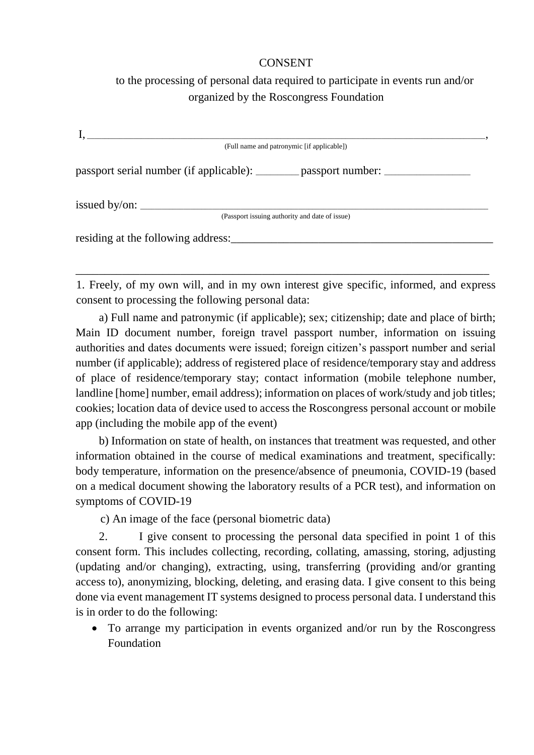## CONSENT

## to the processing of personal data required to participate in events run and/or organized by the Roscongress Foundation

|                        | (Full name and patronymic [if applicable])                                       |  |
|------------------------|----------------------------------------------------------------------------------|--|
|                        | passport serial number (if applicable): _________ passport number: _____________ |  |
| issued by/on: $\angle$ |                                                                                  |  |
|                        | (Passport issuing authority and date of issue)                                   |  |
|                        |                                                                                  |  |

1. Freely, of my own will, and in my own interest give specific, informed, and express consent to processing the following personal data:

\_\_\_\_\_\_\_\_\_\_\_\_\_\_\_\_\_\_\_\_\_\_\_\_\_\_\_\_\_\_\_\_\_\_\_\_\_\_\_\_\_\_\_\_\_\_\_\_\_\_\_\_\_\_\_\_\_\_\_\_\_\_\_\_\_\_\_\_\_\_\_

a) Full name and patronymic (if applicable); sex; citizenship; date and place of birth; Main ID document number, foreign travel passport number, information on issuing authorities and dates documents were issued; foreign citizen's passport number and serial number (if applicable); address of registered place of residence/temporary stay and address of place of residence/temporary stay; contact information (mobile telephone number, landline [home] number, email address); information on places of work/study and job titles; cookies; location data of device used to access the Roscongress personal account or mobile app (including the mobile app of the event)

b) Information on state of health, on instances that treatment was requested, and other information obtained in the course of medical examinations and treatment, specifically: body temperature, information on the presence/absence of pneumonia, COVID-19 (based on a medical document showing the laboratory results of a PCR test), and information on symptoms of COVID-19

c) An image of the face (personal biometric data)

2. I give consent to processing the personal data specified in point 1 of this consent form. This includes collecting, recording, collating, amassing, storing, adjusting (updating and/or changing), extracting, using, transferring (providing and/or granting access to), anonymizing, blocking, deleting, and erasing data. I give consent to this being done via event management IT systems designed to process personal data. I understand this is in order to do the following:

• To arrange my participation in events organized and/or run by the Roscongress Foundation